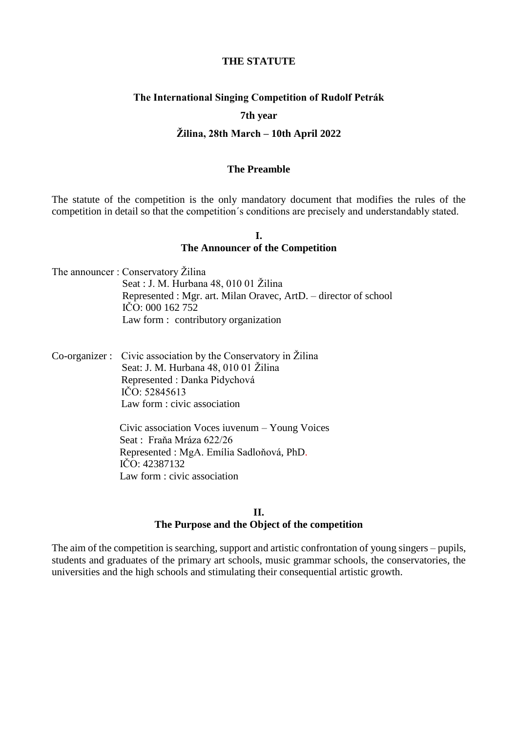#### **THE STATUTE**

#### **The International Singing Competition of Rudolf Petrák**

#### **7th year**

#### **Žilina, 28th March – 10th April 2022**

#### **The Preamble**

The statute of the competition is the only mandatory document that modifies the rules of the competition in detail so that the competition´s conditions are precisely and understandably stated.

### **I. The Announcer of the Competition**

The announcer : Conservatory Žilina Seat : J. M. Hurbana 48, 010 01 Žilina Represented : Mgr. art. Milan Oravec, ArtD. – director of school IČO: 000 162 752 Law form : contributory organization

Co-organizer : Civic association by the Conservatory in Žilina Seat: J. M. Hurbana 48, 010 01 Žilina Represented : Danka Pidychová IČO: 52845613 Law form : civic association

> Civic association Voces iuvenum – Young Voices Seat : Fraňa Mráza 622/26 Represented : MgA. Emília Sadloňová, PhD. IČO: 42387132 Law form : civic association

#### **II. The Purpose and the Object of the competition**

The aim of the competition is searching, support and artistic confrontation of young singers – pupils, students and graduates of the primary art schools, music grammar schools, the conservatories, the universities and the high schools and stimulating their consequential artistic growth.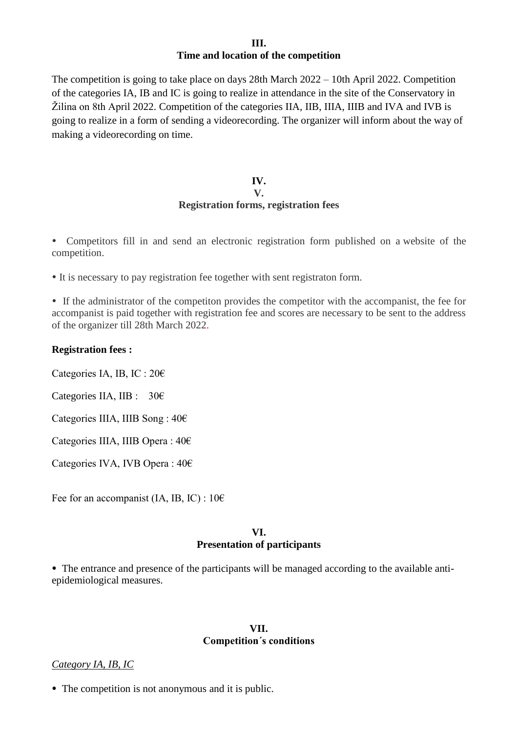### **III. Time and location of the competition**

The competition is going to take place on days 28th March 2022 – 10th April 2022. Competition of the categories IA, IB and IC is going to realize in attendance in the site of the Conservatory in Žilina on 8th April 2022. Competition of the categories IIA, IIB, IIIA, IIIB and IVA and IVB is going to realize in a form of sending a videorecording. The organizer will inform about the way of making a videorecording on time.

#### **IV. V. Registration forms, registration fees**

 Competitors fill in and send an electronic registration form published on a website of the competition.

It is necessary to pay registration fee together with sent registraton form.

 If the administrator of the competiton provides the competitor with the accompanist, the fee for accompanist is paid together with registration fee and scores are necessary to be sent to the address of the organizer till 28th March 2022.

#### **Registration fees :**

Categories IA, IB, IC : 20€

Categories IIA, IIB :  $30<sup>2</sup>$ 

Categories IIIA, IIIB Song : 40€

Categories IIIA, IIIB Opera : 40€

Categories IVA, IVB Opera : 40€

Fee for an accompanist (IA, IB, IC) :  $10 \in$ 

#### **VI. Presentation of participants**

• The entrance and presence of the participants will be managed according to the available antiepidemiological measures.

#### **VII. Competition´s conditions**

## *Category IA, IB, IC*

• The competition is not anonymous and it is public.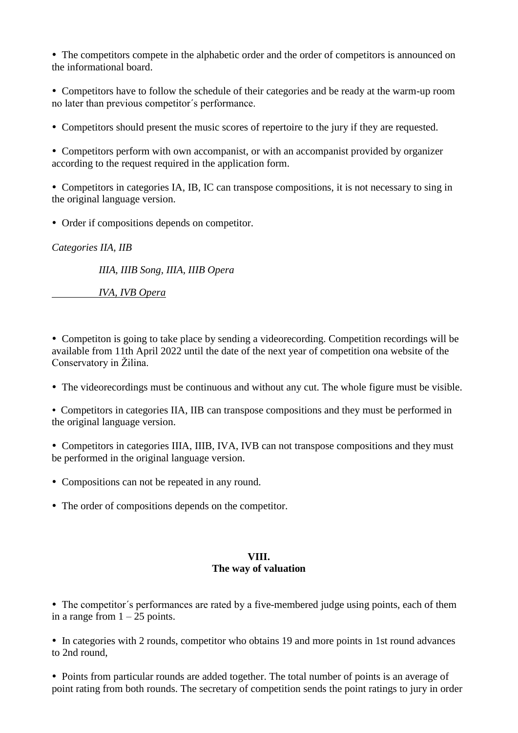• The competitors compete in the alphabetic order and the order of competitors is announced on the informational board.

 Competitors have to follow the schedule of their categories and be ready at the warm-up room no later than previous competitor´s performance.

Competitors should present the music scores of repertoire to the jury if they are requested.

 Competitors perform with own accompanist, or with an accompanist provided by organizer according to the request required in the application form.

 Competitors in categories IA, IB, IC can transpose compositions, it is not necessary to sing in the original language version.

Order if compositions depends on competitor.

*Categories IIA, IIB*

 *IIIA, IIIB Song, IIIA, IIIB Opera*

 *IVA, IVB Opera*

 Competiton is going to take place by sending a videorecording. Competition recordings will be available from 11th April 2022 until the date of the next year of competition ona website of the Conservatory in Žilina.

The videorecordings must be continuous and without any cut. The whole figure must be visible.

 Competitors in categories IIA, IIB can transpose compositions and they must be performed in the original language version.

• Competitors in categories IIIA, IIIB, IVA, IVB can not transpose compositions and they must be performed in the original language version.

- Compositions can not be repeated in any round.
- The order of compositions depends on the competitor.

## **VIII. The way of valuation**

• The competitor's performances are rated by a five-membered judge using points, each of them in a range from  $1 - 25$  points.

• In categories with 2 rounds, competitor who obtains 19 and more points in 1st round advances to 2nd round,

• Points from particular rounds are added together. The total number of points is an average of point rating from both rounds. The secretary of competition sends the point ratings to jury in order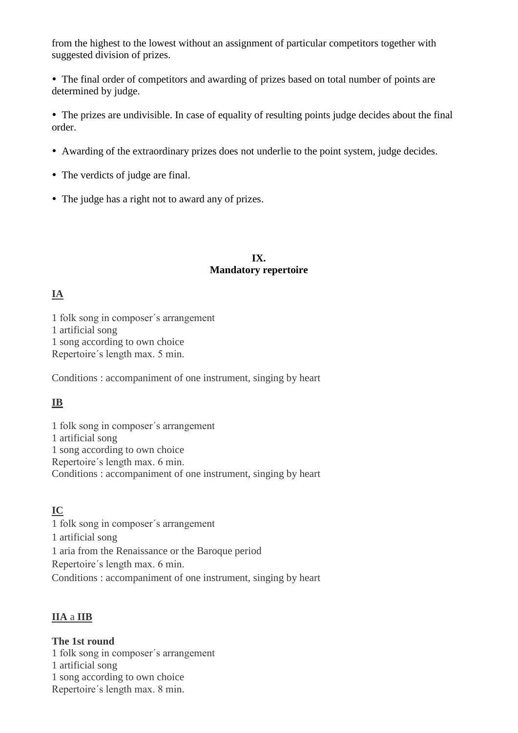from the highest to the lowest without an assignment of particular competitors together with suggested division of prizes.

 The final order of competitors and awarding of prizes based on total number of points are determined by judge.

 The prizes are undivisible. In case of equality of resulting points judge decides about the final order.

- Awarding of the extraordinary prizes does not underlie to the point system, judge decides.
- The verdicts of judge are final.
- The judge has a right not to award any of prizes.

### **IX. Mandatory repertoire**

# **IA**

1 folk song in composer´s arrangement 1 artificial song 1 song according to own choice Repertoire´s length max. 5 min.

Conditions : accompaniment of one instrument, singing by heart

# **IB**

1 folk song in composer´s arrangement 1 artificial song 1 song according to own choice Repertoire´s length max. 6 min. Conditions : accompaniment of one instrument, singing by heart

## **IC**

1 folk song in composer´s arrangement 1 artificial song 1 aria from the Renaissance or the Baroque period Repertoire´s length max. 6 min. Conditions : accompaniment of one instrument, singing by heart

## **IIA** a **IIB**

**The 1st round** 1 folk song in composer´s arrangement 1 artificial song 1 song according to own choice Repertoire´s length max. 8 min.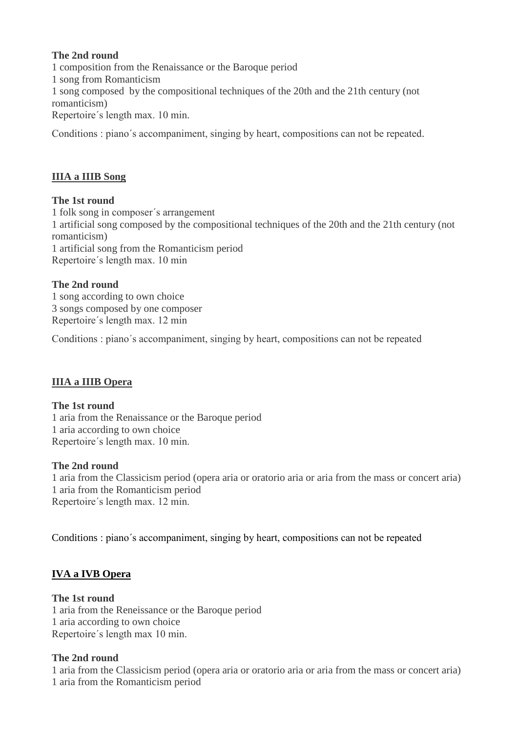## **The 2nd round**

1 composition from the Renaissance or the Baroque period 1 song from Romanticism 1 song composed by the compositional techniques of the 20th and the 21th century (not romanticism) Repertoire´s length max. 10 min.

Conditions : piano´s accompaniment, singing by heart, compositions can not be repeated.

# **IIIA a IIIB Song**

## **The 1st round**

1 folk song in composer´s arrangement 1 artificial song composed by the compositional techniques of the 20th and the 21th century (not romanticism) 1 artificial song from the Romanticism period Repertoire´s length max. 10 min

## **The 2nd round**

1 song according to own choice 3 songs composed by one composer Repertoire´s length max. 12 min

Conditions : piano´s accompaniment, singing by heart, compositions can not be repeated

## **IIIA a IIIB Opera**

## **The 1st round**

1 aria from the Renaissance or the Baroque period 1 aria according to own choice Repertoire´s length max. 10 min.

## **The 2nd round**

1 aria from the Classicism period (opera aria or oratorio aria or aria from the mass or concert aria) 1 aria from the Romanticism period Repertoire´s length max. 12 min.

Conditions : piano´s accompaniment, singing by heart, compositions can not be repeated

## **IVA a IVB Opera**

## **The 1st round**

1 aria from the Reneissance or the Baroque period 1 aria according to own choice Repertoire´s length max 10 min.

## **The 2nd round**

1 aria from the Classicism period (opera aria or oratorio aria or aria from the mass or concert aria) 1 aria from the Romanticism period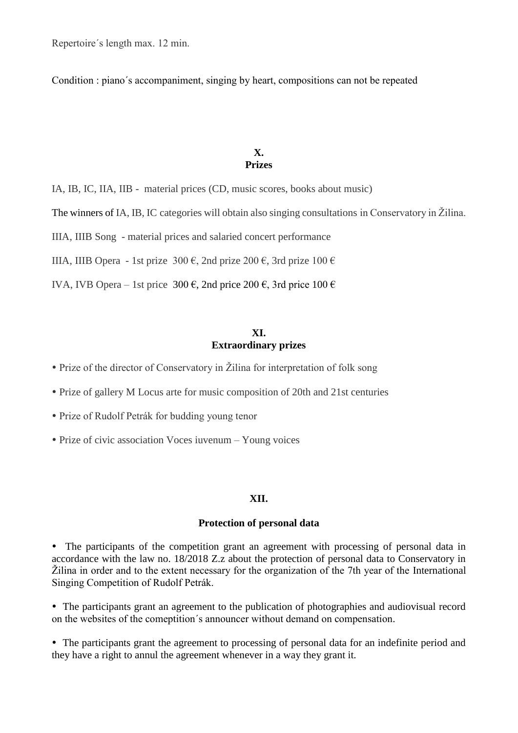Repertoire´s length max. 12 min.

Condition : piano´s accompaniment, singing by heart, compositions can not be repeated

#### **X. Prizes**

IA, IB, IC, IIA, IIB - material prices (CD, music scores, books about music)

The winners of IA, IB, IC categories will obtain also singing consultations in Conservatory in Žilina.

IIIA, IIIB Song - material prices and salaried concert performance

IIIA, IIIB Opera - 1st prize 300 €, 2nd prize 200 €, 3rd prize 100 €

IVA, IVB Opera – 1st price 300  $\epsilon$ , 2nd price 200  $\epsilon$ , 3rd price 100  $\epsilon$ 

#### **XI. Extraordinary prizes**

- Prize of the director of Conservatory in Žilina for interpretation of folk song
- Prize of gallery M Locus arte for music composition of 20th and 21st centuries
- Prize of Rudolf Petrák for budding young tenor
- Prize of civic association Voces iuvenum Young voices

#### **XII.**

#### **Protection of personal data**

 The participants of the competition grant an agreement with processing of personal data in accordance with the law no. 18/2018 Z.z about the protection of personal data to Conservatory in Žilina in order and to the extent necessary for the organization of the 7th year of the International Singing Competition of Rudolf Petrák.

 The participants grant an agreement to the publication of photographies and audiovisual record on the websites of the comeptition´s announcer without demand on compensation.

 The participants grant the agreement to processing of personal data for an indefinite period and they have a right to annul the agreement whenever in a way they grant it.